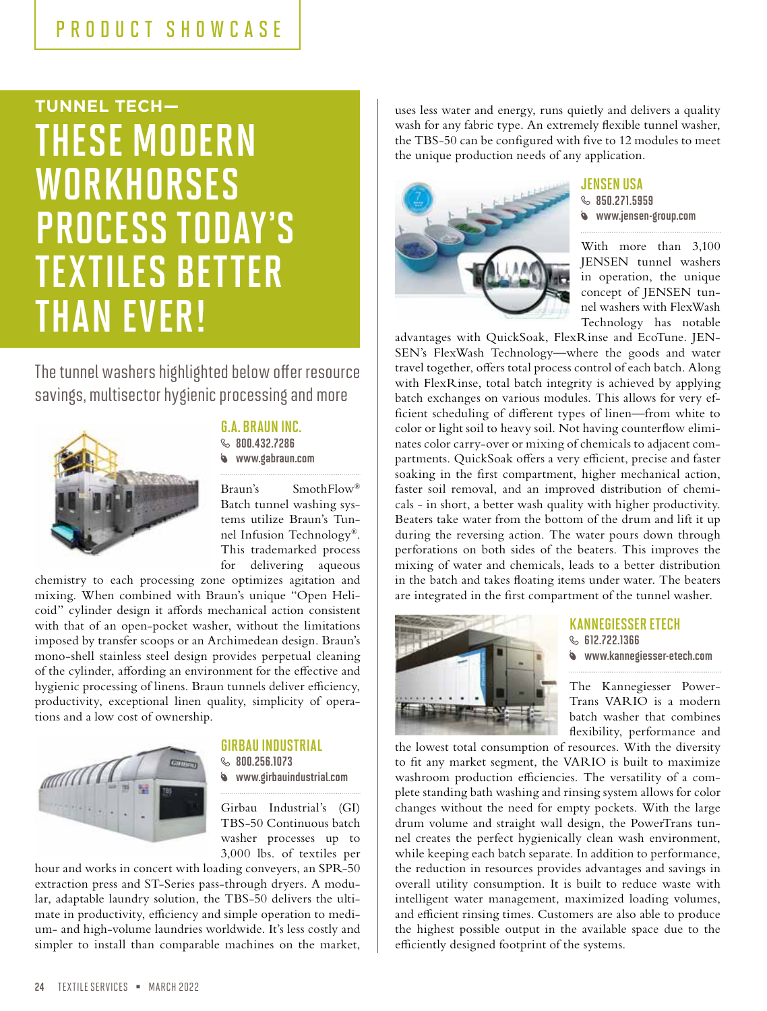## PRODUCT SHOWCASE

# **TUNNEL TECH—** THESE MODERN **WORKHORSES** PROCESS TODAY'S TEXTILES BETTER THAN EVER!

The tunnel washers highlighted below offer resource savings, multisector hygienic processing and more



### G.A. BRAUN INC.

**8.000.432.7286** www.gabraun.com

Braun's SmothFlow® Batch tunnel washing systems utilize Braun's Tunnel Infusion Technology®. This trademarked process for delivering aqueous

chemistry to each processing zone optimizes agitation and mixing. When combined with Braun's unique "Open Helicoid" cylinder design it affords mechanical action consistent with that of an open-pocket washer, without the limitations imposed by transfer scoops or an Archimedean design. Braun's mono-shell stainless steel design provides perpetual cleaning of the cylinder, affording an environment for the effective and hygienic processing of linens. Braun tunnels deliver efficiency, productivity, exceptional linen quality, simplicity of operations and a low cost of ownership.



## GIRBAU INDUSTRIAL

 $$800.256.1073$ www.girbauindustrial.com

Girbau Industrial's (GI) TBS-50 Continuous batch washer processes up to 3,000 lbs. of textiles per

hour and works in concert with loading conveyers, an SPR-50 extraction press and ST-Series pass-through dryers. A modular, adaptable laundry solution, the TBS-50 delivers the ultimate in productivity, efficiency and simple operation to medium- and high-volume laundries worldwide. It's less costly and simpler to install than comparable machines on the market,

uses less water and energy, runs quietly and delivers a quality wash for any fabric type. An extremely flexible tunnel washer, the TBS-50 can be configured with five to 12 modules to meet the unique production needs of any application.



#### JENSEN USA

 $$50.271.5959$ www.jensen-group.com

With more than 3,100 JENSEN tunnel washers in operation, the unique concept of JENSEN tunnel washers with FlexWash Technology has notable

advantages with QuickSoak, FlexRinse and EcoTune. JEN-SEN's FlexWash Technology—where the goods and water travel together, offers total process control of each batch. Along with FlexRinse, total batch integrity is achieved by applying batch exchanges on various modules. This allows for very efficient scheduling of different types of linen—from white to color or light soil to heavy soil. Not having counterflow eliminates color carry-over or mixing of chemicals to adjacent compartments. QuickSoak offers a very efficient, precise and faster soaking in the first compartment, higher mechanical action, faster soil removal, and an improved distribution of chemicals - in short, a better wash quality with higher productivity. Beaters take water from the bottom of the drum and lift it up during the reversing action. The water pours down through perforations on both sides of the beaters. This improves the mixing of water and chemicals, leads to a better distribution in the batch and takes floating items under water. The beaters are integrated in the first compartment of the tunnel washer.



#### KANNEGIESSER ETECH  $$B12.722.1366$ www.kannegiesser-etech.com

The Kannegiesser Power-Trans VARIO is a modern batch washer that combines flexibility, performance and

the lowest total consumption of resources. With the diversity to fit any market segment, the VARIO is built to maximize washroom production efficiencies. The versatility of a complete standing bath washing and rinsing system allows for color changes without the need for empty pockets. With the large drum volume and straight wall design, the PowerTrans tunnel creates the perfect hygienically clean wash environment, while keeping each batch separate. In addition to performance, the reduction in resources provides advantages and savings in overall utility consumption. It is built to reduce waste with intelligent water management, maximized loading volumes, and efficient rinsing times. Customers are also able to produce the highest possible output in the available space due to the efficiently designed footprint of the systems.